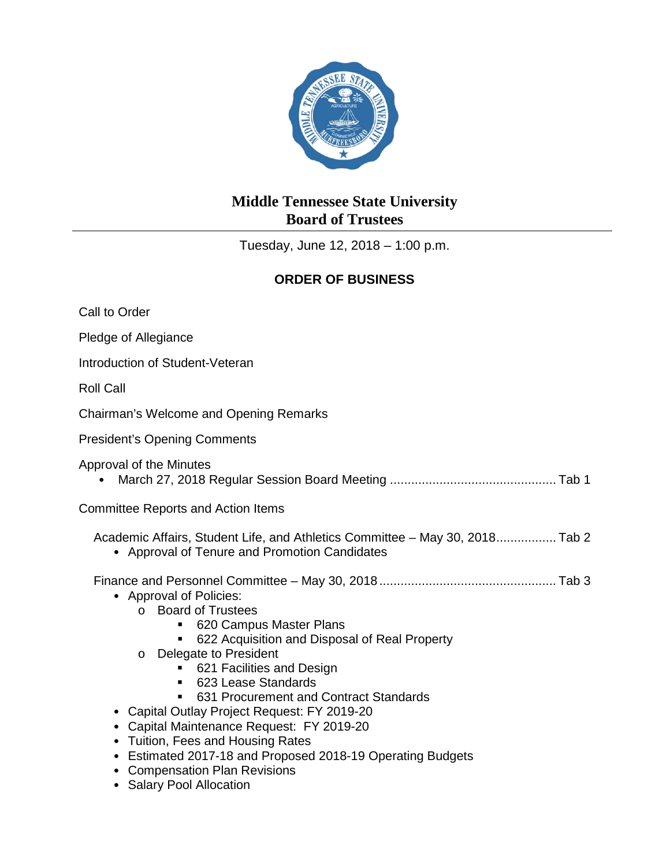

## **Middle Tennessee State University Board of Trustees**

Tuesday, June 12, 2018 – 1:00 p.m.

## **ORDER OF BUSINESS**

| Call to Order                                                                                                                                                                                                                                                                                                                                                                                                                                                                                                                             |
|-------------------------------------------------------------------------------------------------------------------------------------------------------------------------------------------------------------------------------------------------------------------------------------------------------------------------------------------------------------------------------------------------------------------------------------------------------------------------------------------------------------------------------------------|
| Pledge of Allegiance                                                                                                                                                                                                                                                                                                                                                                                                                                                                                                                      |
| Introduction of Student-Veteran                                                                                                                                                                                                                                                                                                                                                                                                                                                                                                           |
| <b>Roll Call</b>                                                                                                                                                                                                                                                                                                                                                                                                                                                                                                                          |
| Chairman's Welcome and Opening Remarks                                                                                                                                                                                                                                                                                                                                                                                                                                                                                                    |
| <b>President's Opening Comments</b>                                                                                                                                                                                                                                                                                                                                                                                                                                                                                                       |
| Approval of the Minutes                                                                                                                                                                                                                                                                                                                                                                                                                                                                                                                   |
| <b>Committee Reports and Action Items</b>                                                                                                                                                                                                                                                                                                                                                                                                                                                                                                 |
| Academic Affairs, Student Life, and Athletics Committee – May 30, 2018 Tab 2<br>• Approval of Tenure and Promotion Candidates                                                                                                                                                                                                                                                                                                                                                                                                             |
| • Approval of Policies:<br>o Board of Trustees<br>620 Campus Master Plans<br>622 Acquisition and Disposal of Real Property<br>o Delegate to President<br>621 Facilities and Design<br>623 Lease Standards<br>631 Procurement and Contract Standards<br>• Capital Outlay Project Request: FY 2019-20<br>Capital Maintenance Request: FY 2019-20<br>Tuition, Fees and Housing Rates<br>$\bullet$<br>Estimated 2017-18 and Proposed 2018-19 Operating Budgets<br>$\bullet$<br><b>Compensation Plan Revisions</b><br>• Salary Pool Allocation |